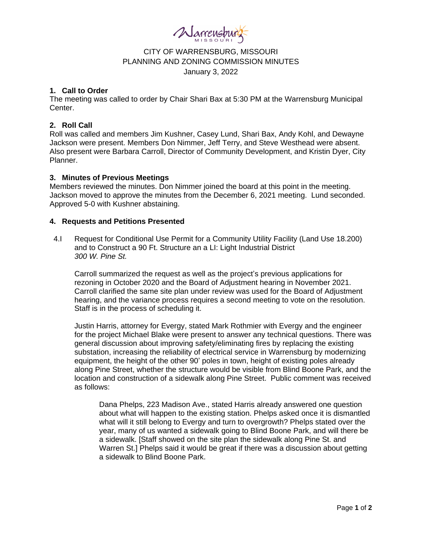

# CITY OF WARRENSBURG, MISSOURI PLANNING AND ZONING COMMISSION MINUTES January 3, 2022

#### **1. Call to Order**

The meeting was called to order by Chair Shari Bax at 5:30 PM at the Warrensburg Municipal Center.

# **2. Roll Call**

Roll was called and members Jim Kushner, Casey Lund, Shari Bax, Andy Kohl, and Dewayne Jackson were present. Members Don Nimmer, Jeff Terry, and Steve Westhead were absent. Also present were Barbara Carroll, Director of Community Development, and Kristin Dyer, City Planner.

# **3. Minutes of Previous Meetings**

Members reviewed the minutes. Don Nimmer joined the board at this point in the meeting. Jackson moved to approve the minutes from the December 6, 2021 meeting. Lund seconded. Approved 5-0 with Kushner abstaining.

# **4. Requests and Petitions Presented**

4.I Request for Conditional Use Permit for a Community Utility Facility (Land Use 18.200) and to Construct a 90 Ft. Structure an a LI: Light Industrial District *300 W. Pine St.*

Carroll summarized the request as well as the project's previous applications for rezoning in October 2020 and the Board of Adjustment hearing in November 2021. Carroll clarified the same site plan under review was used for the Board of Adjustment hearing, and the variance process requires a second meeting to vote on the resolution. Staff is in the process of scheduling it.

Justin Harris, attorney for Evergy, stated Mark Rothmier with Evergy and the engineer for the project Michael Blake were present to answer any technical questions. There was general discussion about improving safety/eliminating fires by replacing the existing substation, increasing the reliability of electrical service in Warrensburg by modernizing equipment, the height of the other 90' poles in town, height of existing poles already along Pine Street, whether the structure would be visible from Blind Boone Park, and the location and construction of a sidewalk along Pine Street. Public comment was received as follows:

Dana Phelps, 223 Madison Ave., stated Harris already answered one question about what will happen to the existing station. Phelps asked once it is dismantled what will it still belong to Evergy and turn to overgrowth? Phelps stated over the year, many of us wanted a sidewalk going to Blind Boone Park, and will there be a sidewalk. [Staff showed on the site plan the sidewalk along Pine St. and Warren St.] Phelps said it would be great if there was a discussion about getting a sidewalk to Blind Boone Park.